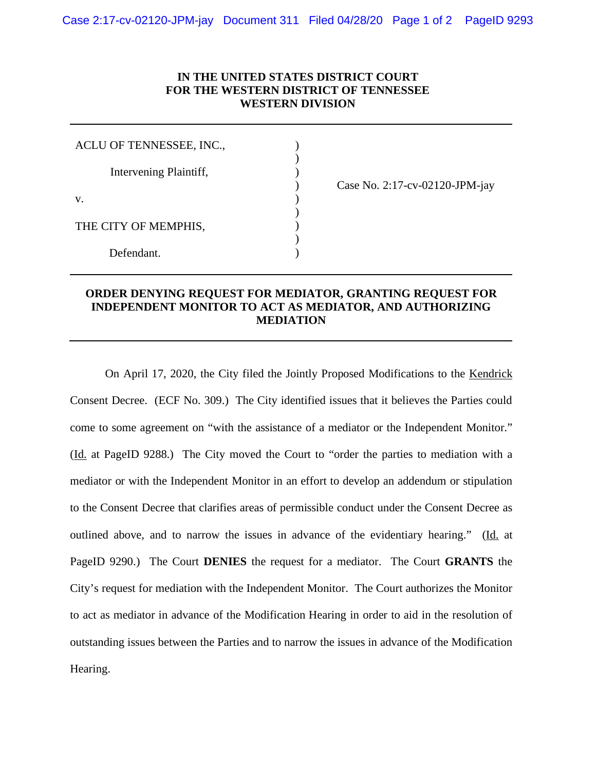## **IN THE UNITED STATES DISTRICT COURT FOR THE WESTERN DISTRICT OF TENNESSEE WESTERN DIVISION**

) ) )

) ) ) )

| ACLU OF TENNESSEE, INC., |  |
|--------------------------|--|
| Intervening Plaintiff,   |  |
| V.                       |  |
| THE CITY OF MEMPHIS,     |  |
| Defendant.               |  |

) Case No. 2:17-cv-02120-JPM-jay

## **ORDER DENYING REQUEST FOR MEDIATOR, GRANTING REQUEST FOR INDEPENDENT MONITOR TO ACT AS MEDIATOR, AND AUTHORIZING MEDIATION**

On April 17, 2020, the City filed the Jointly Proposed Modifications to the Kendrick Consent Decree. (ECF No. 309.) The City identified issues that it believes the Parties could come to some agreement on "with the assistance of a mediator or the Independent Monitor." (Id. at PageID 9288.) The City moved the Court to "order the parties to mediation with a mediator or with the Independent Monitor in an effort to develop an addendum or stipulation to the Consent Decree that clarifies areas of permissible conduct under the Consent Decree as outlined above, and to narrow the issues in advance of the evidentiary hearing." (Id. at PageID 9290.) The Court **DENIES** the request for a mediator. The Court **GRANTS** the City's request for mediation with the Independent Monitor. The Court authorizes the Monitor to act as mediator in advance of the Modification Hearing in order to aid in the resolution of outstanding issues between the Parties and to narrow the issues in advance of the Modification Hearing.